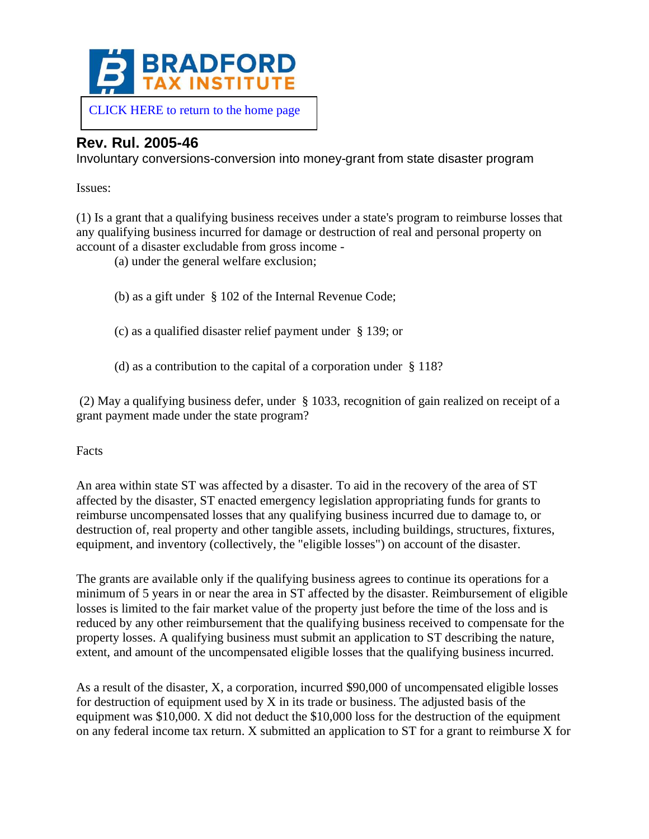

## **Rev. Rul. 2005-46**

Involuntary conversions-conversion into money-grant from state disaster program

Issues:

(1) Is a grant that a qualifying business receives under a state's program to reimburse losses that any qualifying business incurred for damage or destruction of real and personal property on account of a disaster excludable from gross income -

(a) under the general welfare exclusion;

(b) as a gift under § 102 of the Internal Revenue Code;

(c) as a qualified disaster relief payment under § 139; or

(d) as a contribution to the capital of a corporation under § 118?

(2) May a qualifying business defer, under § 1033, recognition of gain realized on receipt of a grant payment made under the state program?

Facts

An area within state ST was affected by a disaster. To aid in the recovery of the area of ST affected by the disaster, ST enacted emergency legislation appropriating funds for grants to reimburse uncompensated losses that any qualifying business incurred due to damage to, or destruction of, real property and other tangible assets, including buildings, structures, fixtures, equipment, and inventory (collectively, the "eligible losses") on account of the disaster.

The grants are available only if the qualifying business agrees to continue its operations for a minimum of 5 years in or near the area in ST affected by the disaster. Reimbursement of eligible losses is limited to the fair market value of the property just before the time of the loss and is reduced by any other reimbursement that the qualifying business received to compensate for the property losses. A qualifying business must submit an application to ST describing the nature, extent, and amount of the uncompensated eligible losses that the qualifying business incurred.

As a result of the disaster, X, a corporation, incurred \$90,000 of uncompensated eligible losses for destruction of equipment used by  $X$  in its trade or business. The adjusted basis of the equipment was \$10,000. X did not deduct the \$10,000 loss for the destruction of the equipment on any federal income tax return. X submitted an application to ST for a grant to reimburse X for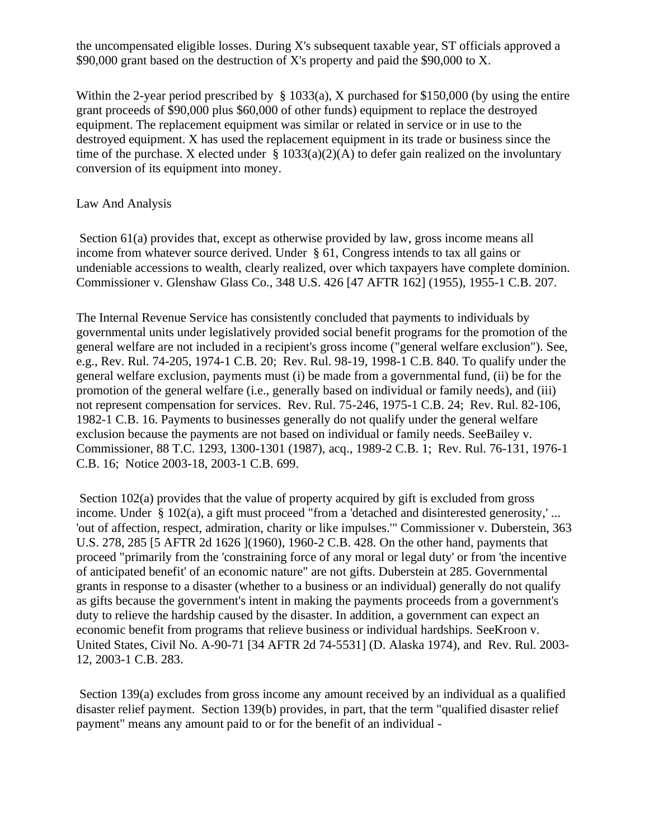the uncompensated eligible losses. During X's subsequent taxable year, ST officials approved a \$90,000 grant based on the destruction of X's property and paid the \$90,000 to X.

Within the 2-year period prescribed by § 1033(a), X purchased for \$150,000 (by using the entire grant proceeds of \$90,000 plus \$60,000 of other funds) equipment to replace the destroyed equipment. The replacement equipment was similar or related in service or in use to the destroyed equipment. X has used the replacement equipment in its trade or business since the time of the purchase. X elected under  $\S 1033(a)(2)(A)$  to defer gain realized on the involuntary conversion of its equipment into money.

## Law And Analysis

Section 61(a) provides that, except as otherwise provided by law, gross income means all income from whatever source derived. Under § 61, Congress intends to tax all gains or undeniable accessions to wealth, clearly realized, over which taxpayers have complete dominion. Commissioner v. Glenshaw Glass Co., 348 U.S. 426 [47 AFTR 162] (1955), 1955-1 C.B. 207.

The Internal Revenue Service has consistently concluded that payments to individuals by governmental units under legislatively provided social benefit programs for the promotion of the general welfare are not included in a recipient's gross income ("general welfare exclusion"). See, e.g., Rev. Rul. 74-205, 1974-1 C.B. 20; Rev. Rul. 98-19, 1998-1 C.B. 840. To qualify under the general welfare exclusion, payments must (i) be made from a governmental fund, (ii) be for the promotion of the general welfare (i.e., generally based on individual or family needs), and (iii) not represent compensation for services. Rev. Rul. 75-246, 1975-1 C.B. 24; Rev. Rul. 82-106, 1982-1 C.B. 16. Payments to businesses generally do not qualify under the general welfare exclusion because the payments are not based on individual or family needs. SeeBailey v. Commissioner, 88 T.C. 1293, 1300-1301 (1987), acq., 1989-2 C.B. 1; Rev. Rul. 76-131, 1976-1 C.B. 16; Notice 2003-18, 2003-1 C.B. 699.

Section 102(a) provides that the value of property acquired by gift is excluded from gross income. Under § 102(a), a gift must proceed "from a 'detached and disinterested generosity,' ... 'out of affection, respect, admiration, charity or like impulses.'" Commissioner v. Duberstein, 363 U.S. 278, 285 [5 AFTR 2d 1626 ](1960), 1960-2 C.B. 428. On the other hand, payments that proceed "primarily from the 'constraining force of any moral or legal duty' or from 'the incentive of anticipated benefit' of an economic nature" are not gifts. Duberstein at 285. Governmental grants in response to a disaster (whether to a business or an individual) generally do not qualify as gifts because the government's intent in making the payments proceeds from a government's duty to relieve the hardship caused by the disaster. In addition, a government can expect an economic benefit from programs that relieve business or individual hardships. SeeKroon v. United States, Civil No. A-90-71 [34 AFTR 2d 74-5531] (D. Alaska 1974), and Rev. Rul. 2003- 12, 2003-1 C.B. 283.

Section 139(a) excludes from gross income any amount received by an individual as a qualified disaster relief payment. Section 139(b) provides, in part, that the term "qualified disaster relief payment" means any amount paid to or for the benefit of an individual -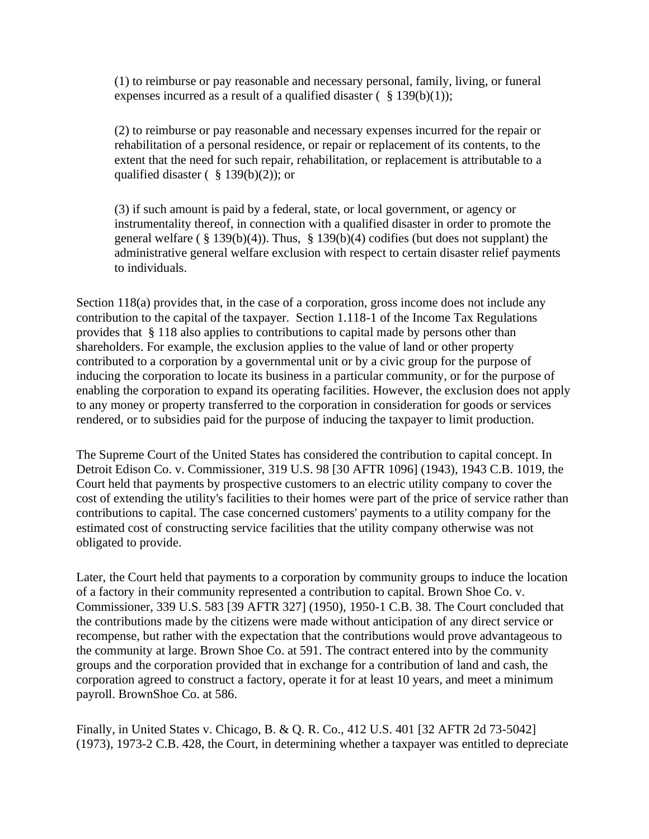(1) to reimburse or pay reasonable and necessary personal, family, living, or funeral expenses incurred as a result of a qualified disaster  $(\S 139(b)(1))$ ;

(2) to reimburse or pay reasonable and necessary expenses incurred for the repair or rehabilitation of a personal residence, or repair or replacement of its contents, to the extent that the need for such repair, rehabilitation, or replacement is attributable to a qualified disaster ( $§$  139(b)(2)); or

(3) if such amount is paid by a federal, state, or local government, or agency or instrumentality thereof, in connection with a qualified disaster in order to promote the general welfare ( $\S 139(b)(4)$ ). Thus,  $\S 139(b)(4)$  codifies (but does not supplant) the administrative general welfare exclusion with respect to certain disaster relief payments to individuals.

Section 118(a) provides that, in the case of a corporation, gross income does not include any contribution to the capital of the taxpayer. Section 1.118-1 of the Income Tax Regulations provides that § 118 also applies to contributions to capital made by persons other than shareholders. For example, the exclusion applies to the value of land or other property contributed to a corporation by a governmental unit or by a civic group for the purpose of inducing the corporation to locate its business in a particular community, or for the purpose of enabling the corporation to expand its operating facilities. However, the exclusion does not apply to any money or property transferred to the corporation in consideration for goods or services rendered, or to subsidies paid for the purpose of inducing the taxpayer to limit production.

The Supreme Court of the United States has considered the contribution to capital concept. In Detroit Edison Co. v. Commissioner, 319 U.S. 98 [30 AFTR 1096] (1943), 1943 C.B. 1019, the Court held that payments by prospective customers to an electric utility company to cover the cost of extending the utility's facilities to their homes were part of the price of service rather than contributions to capital. The case concerned customers' payments to a utility company for the estimated cost of constructing service facilities that the utility company otherwise was not obligated to provide.

Later, the Court held that payments to a corporation by community groups to induce the location of a factory in their community represented a contribution to capital. Brown Shoe Co. v. Commissioner, 339 U.S. 583 [39 AFTR 327] (1950), 1950-1 C.B. 38. The Court concluded that the contributions made by the citizens were made without anticipation of any direct service or recompense, but rather with the expectation that the contributions would prove advantageous to the community at large. Brown Shoe Co. at 591. The contract entered into by the community groups and the corporation provided that in exchange for a contribution of land and cash, the corporation agreed to construct a factory, operate it for at least 10 years, and meet a minimum payroll. BrownShoe Co. at 586.

Finally, in United States v. Chicago, B. & Q. R. Co., 412 U.S. 401 [32 AFTR 2d 73-5042] (1973), 1973-2 C.B. 428, the Court, in determining whether a taxpayer was entitled to depreciate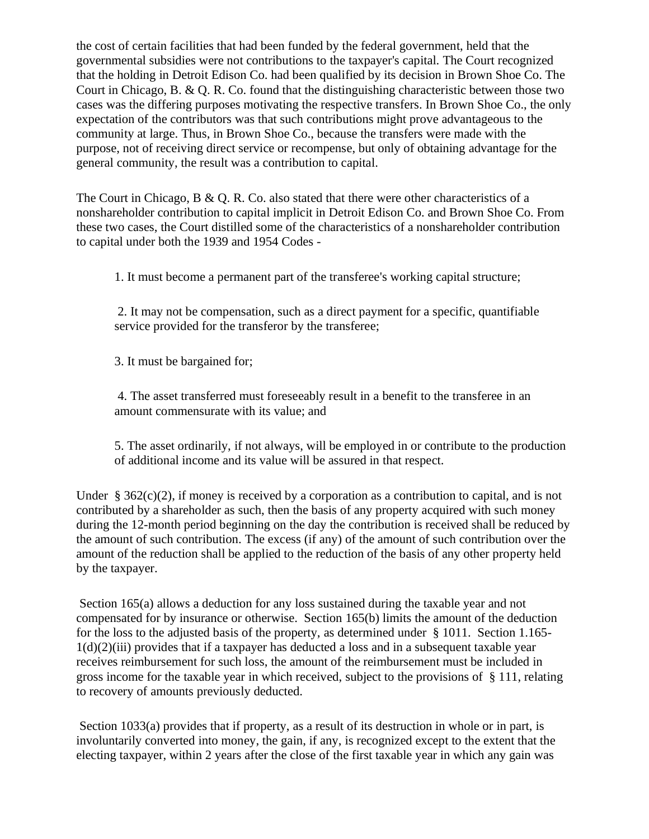the cost of certain facilities that had been funded by the federal government, held that the governmental subsidies were not contributions to the taxpayer's capital. The Court recognized that the holding in Detroit Edison Co. had been qualified by its decision in Brown Shoe Co. The Court in Chicago, B. & Q. R. Co. found that the distinguishing characteristic between those two cases was the differing purposes motivating the respective transfers. In Brown Shoe Co., the only expectation of the contributors was that such contributions might prove advantageous to the community at large. Thus, in Brown Shoe Co., because the transfers were made with the purpose, not of receiving direct service or recompense, but only of obtaining advantage for the general community, the result was a contribution to capital.

The Court in Chicago, B & Q. R. Co. also stated that there were other characteristics of a nonshareholder contribution to capital implicit in Detroit Edison Co. and Brown Shoe Co. From these two cases, the Court distilled some of the characteristics of a nonshareholder contribution to capital under both the 1939 and 1954 Codes -

1. It must become a permanent part of the transferee's working capital structure;

2. It may not be compensation, such as a direct payment for a specific, quantifiable service provided for the transferor by the transferee;

3. It must be bargained for;

4. The asset transferred must foreseeably result in a benefit to the transferee in an amount commensurate with its value; and

5. The asset ordinarily, if not always, will be employed in or contribute to the production of additional income and its value will be assured in that respect.

Under § 362(c)(2), if money is received by a corporation as a contribution to capital, and is not contributed by a shareholder as such, then the basis of any property acquired with such money during the 12-month period beginning on the day the contribution is received shall be reduced by the amount of such contribution. The excess (if any) of the amount of such contribution over the amount of the reduction shall be applied to the reduction of the basis of any other property held by the taxpayer.

Section 165(a) allows a deduction for any loss sustained during the taxable year and not compensated for by insurance or otherwise. Section 165(b) limits the amount of the deduction for the loss to the adjusted basis of the property, as determined under § 1011. Section 1.165-  $1(d)(2)(iii)$  provides that if a taxpayer has deducted a loss and in a subsequent taxable year receives reimbursement for such loss, the amount of the reimbursement must be included in gross income for the taxable year in which received, subject to the provisions of § 111, relating to recovery of amounts previously deducted.

Section 1033(a) provides that if property, as a result of its destruction in whole or in part, is involuntarily converted into money, the gain, if any, is recognized except to the extent that the electing taxpayer, within 2 years after the close of the first taxable year in which any gain was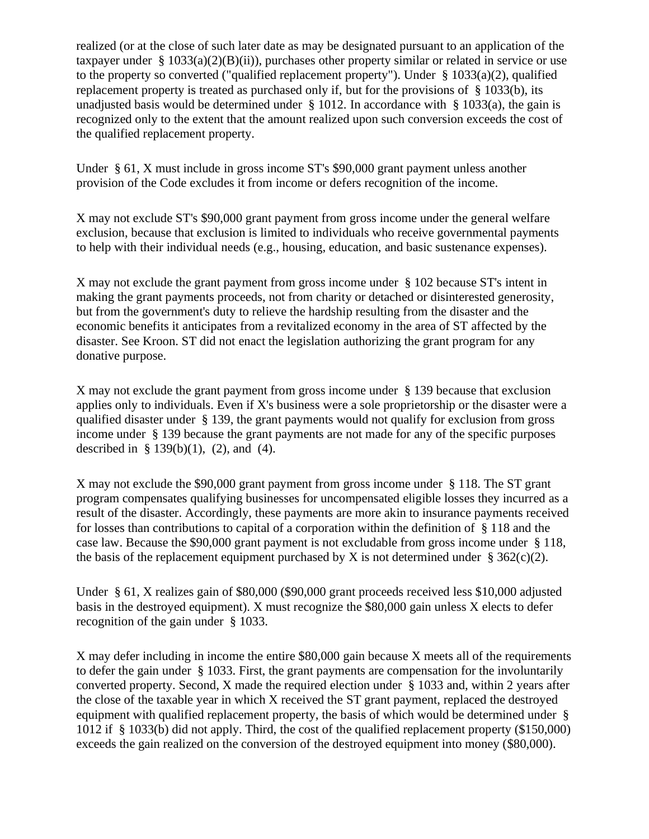realized (or at the close of such later date as may be designated pursuant to an application of the taxpayer under § 1033(a)(2)(B)(ii)), purchases other property similar or related in service or use to the property so converted ("qualified replacement property"). Under § 1033(a)(2), qualified replacement property is treated as purchased only if, but for the provisions of § 1033(b), its unadjusted basis would be determined under  $\S$  1012. In accordance with  $\S$  1033(a), the gain is recognized only to the extent that the amount realized upon such conversion exceeds the cost of the qualified replacement property.

Under § 61, X must include in gross income ST's \$90,000 grant payment unless another provision of the Code excludes it from income or defers recognition of the income.

X may not exclude ST's \$90,000 grant payment from gross income under the general welfare exclusion, because that exclusion is limited to individuals who receive governmental payments to help with their individual needs (e.g., housing, education, and basic sustenance expenses).

X may not exclude the grant payment from gross income under § 102 because ST's intent in making the grant payments proceeds, not from charity or detached or disinterested generosity, but from the government's duty to relieve the hardship resulting from the disaster and the economic benefits it anticipates from a revitalized economy in the area of ST affected by the disaster. See Kroon. ST did not enact the legislation authorizing the grant program for any donative purpose.

X may not exclude the grant payment from gross income under § 139 because that exclusion applies only to individuals. Even if X's business were a sole proprietorship or the disaster were a qualified disaster under § 139, the grant payments would not qualify for exclusion from gross income under § 139 because the grant payments are not made for any of the specific purposes described in  $\S 139(b)(1)$ , (2), and (4).

X may not exclude the \$90,000 grant payment from gross income under § 118. The ST grant program compensates qualifying businesses for uncompensated eligible losses they incurred as a result of the disaster. Accordingly, these payments are more akin to insurance payments received for losses than contributions to capital of a corporation within the definition of § 118 and the case law. Because the \$90,000 grant payment is not excludable from gross income under § 118, the basis of the replacement equipment purchased by X is not determined under  $\S 362(c)(2)$ .

Under § 61, X realizes gain of \$80,000 (\$90,000 grant proceeds received less \$10,000 adjusted basis in the destroyed equipment). X must recognize the \$80,000 gain unless X elects to defer recognition of the gain under § 1033.

X may defer including in income the entire \$80,000 gain because X meets all of the requirements to defer the gain under § 1033. First, the grant payments are compensation for the involuntarily converted property. Second, X made the required election under § 1033 and, within 2 years after the close of the taxable year in which X received the ST grant payment, replaced the destroyed equipment with qualified replacement property, the basis of which would be determined under § 1012 if § 1033(b) did not apply. Third, the cost of the qualified replacement property (\$150,000) exceeds the gain realized on the conversion of the destroyed equipment into money (\$80,000).